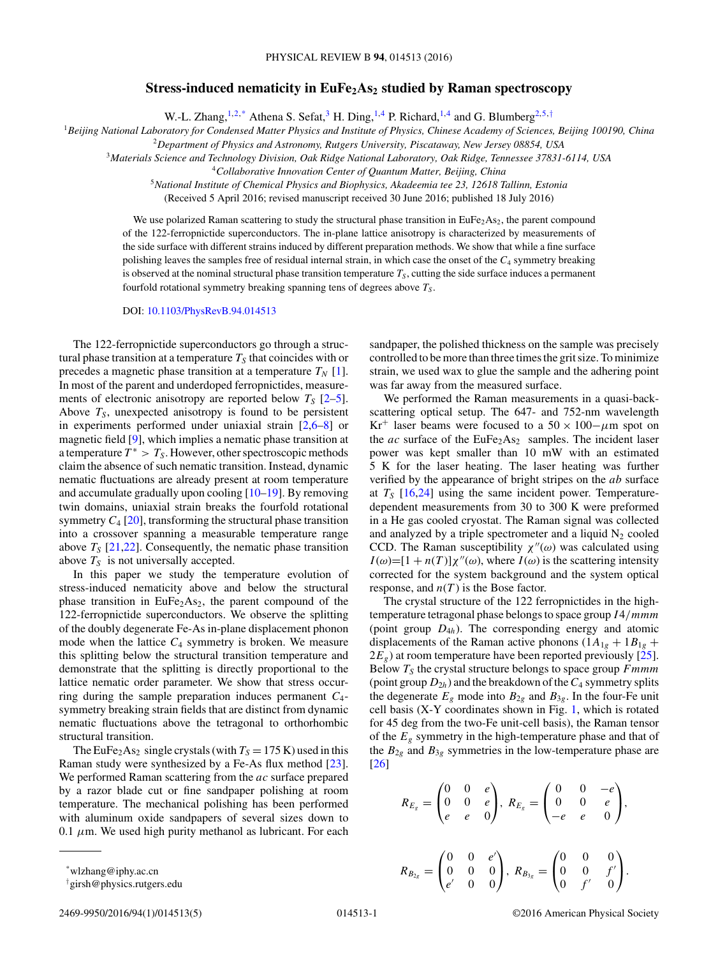## **Stress-induced nematicity in EuFe<sub>2</sub>As<sub>2</sub> studied by Raman spectroscopy**

W.-L. Zhang,  $^{1,2,*}$  Athena S. Sefat, <sup>3</sup> H. Ding, <sup>1,4</sup> P. Richard, <sup>1,4</sup> and G. Blumberg<sup>2,5,†</sup>

<sup>1</sup>*Beijing National Laboratory for Condensed Matter Physics and Institute of Physics, Chinese Academy of Sciences, Beijing 100190, China*

<sup>2</sup>*Department of Physics and Astronomy, Rutgers University, Piscataway, New Jersey 08854, USA*

<sup>3</sup>*Materials Science and Technology Division, Oak Ridge National Laboratory, Oak Ridge, Tennessee 37831-6114, USA*

<sup>4</sup>*Collaborative Innovation Center of Quantum Matter, Beijing, China*

<sup>5</sup>*National Institute of Chemical Physics and Biophysics, Akadeemia tee 23, 12618 Tallinn, Estonia*

(Received 5 April 2016; revised manuscript received 30 June 2016; published 18 July 2016)

We use polarized Raman scattering to study the structural phase transition in  $EuFe<sub>2</sub>As<sub>2</sub>$ , the parent compound of the 122-ferropnictide superconductors. The in-plane lattice anisotropy is characterized by measurements of the side surface with different strains induced by different preparation methods. We show that while a fine surface polishing leaves the samples free of residual internal strain, in which case the onset of the *C*<sup>4</sup> symmetry breaking is observed at the nominal structural phase transition temperature  $T<sub>S</sub>$ , cutting the side surface induces a permanent fourfold rotational symmetry breaking spanning tens of degrees above *TS* .

DOI: [10.1103/PhysRevB.94.014513](http://dx.doi.org/10.1103/PhysRevB.94.014513)

The 122-ferropnictide superconductors go through a structural phase transition at a temperature  $T<sub>S</sub>$  that coincides with or precedes a magnetic phase transition at a temperature  $T_N$  [\[1\]](#page-3-0). In most of the parent and underdoped ferropnictides, measurements of electronic anisotropy are reported below  $T_S$  [\[2–5\]](#page-3-0). Above  $T<sub>S</sub>$ , unexpected anisotropy is found to be persistent in experiments performed under uniaxial strain [\[2,6–8\]](#page-3-0) or magnetic field [\[9\]](#page-3-0), which implies a nematic phase transition at a temperature  $T^* > T_S$ . However, other spectroscopic methods claim the absence of such nematic transition. Instead, dynamic nematic fluctuations are already present at room temperature and accumulate gradually upon cooling [\[10–19\]](#page-3-0). By removing twin domains, uniaxial strain breaks the fourfold rotational symmetry  $C_4$  [\[20\]](#page-3-0), transforming the structural phase transition into a crossover spanning a measurable temperature range above  $T_s$  [\[21,22\]](#page-3-0). Consequently, the nematic phase transition above  $T<sub>S</sub>$  is not universally accepted.

In this paper we study the temperature evolution of stress-induced nematicity above and below the structural phase transition in  $EuFe<sub>2</sub>As<sub>2</sub>$ , the parent compound of the 122-ferropnictide superconductors. We observe the splitting of the doubly degenerate Fe-As in-plane displacement phonon mode when the lattice  $C_4$  symmetry is broken. We measure this splitting below the structural transition temperature and demonstrate that the splitting is directly proportional to the lattice nematic order parameter. We show that stress occurring during the sample preparation induces permanent *C*4 symmetry breaking strain fields that are distinct from dynamic nematic fluctuations above the tetragonal to orthorhombic structural transition.

The EuFe<sub>2</sub>As<sub>2</sub> single crystals (with  $T<sub>S</sub> = 175$  K) used in this Raman study were synthesized by a Fe-As flux method [\[23\]](#page-3-0). We performed Raman scattering from the *ac* surface prepared by a razor blade cut or fine sandpaper polishing at room temperature. The mechanical polishing has been performed with aluminum oxide sandpapers of several sizes down to 0.1  $\mu$ m. We used high purity methanol as lubricant. For each

\*wlzhang@iphy.ac.cn

† girsh@physics.rutgers.edu

sandpaper, the polished thickness on the sample was precisely controlled to be more than three times the grit size. To minimize strain, we used wax to glue the sample and the adhering point was far away from the measured surface.

We performed the Raman measurements in a quasi-backscattering optical setup. The 647- and 752-nm wavelength Kr<sup>+</sup> laser beams were focused to a  $50 \times 100 - \mu$ m spot on the *ac* surface of the  $EuFe<sub>2</sub>As<sub>2</sub>$  samples. The incident laser power was kept smaller than 10 mW with an estimated 5 K for the laser heating. The laser heating was further verified by the appearance of bright stripes on the *ab* surface at  $T_s$  [\[16,24\]](#page-3-0) using the same incident power. Temperaturedependent measurements from 30 to 300 K were preformed in a He gas cooled cryostat. The Raman signal was collected and analyzed by a triple spectrometer and a liquid  $N_2$  cooled CCD. The Raman susceptibility  $\chi''(\omega)$  was calculated using  $I(\omega) = [1 + n(T)] \chi''(\omega)$ , where  $I(\omega)$  is the scattering intensity corrected for the system background and the system optical response, and  $n(T)$  is the Bose factor.

The crystal structure of the 122 ferropnictides in the hightemperature tetragonal phase belongs to space group *I*4*/mmm* (point group *D*4*<sup>h</sup>*). The corresponding energy and atomic displacements of the Raman active phonons  $(1A_{1g} + 1B_{1g} +$  $2E_g$ ) at room temperature have been reported previously [\[25\]](#page-4-0). Below *TS* the crystal structure belongs to space group *Fmmm* (point group  $D_{2h}$ ) and the breakdown of the  $C_4$  symmetry splits the degenerate  $E_g$  mode into  $B_{2g}$  and  $B_{3g}$ . In the four-Fe unit cell basis (X-Y coordinates shown in Fig. [1,](#page-1-0) which is rotated for 45 deg from the two-Fe unit-cell basis), the Raman tensor of the *Eg* symmetry in the high-temperature phase and that of the  $B_{2g}$  and  $B_{3g}$  symmetries in the low-temperature phase are [\[26\]](#page-4-0)

$$
R_{E_g} = \begin{pmatrix} 0 & 0 & e \\ 0 & 0 & e \\ e & e & 0 \end{pmatrix}, R_{E_g} = \begin{pmatrix} 0 & 0 & -e \\ 0 & 0 & e \\ -e & e & 0 \end{pmatrix},
$$
  

$$
\begin{pmatrix} 0 & 0 & e' \\ & & \end{pmatrix} \qquad \begin{pmatrix} 0 & 0 & 0 \\ & & \end{pmatrix}
$$

 $\Big\}, R_{B_{3g}} =$ 

 $\mathbf{I}$ 

 $R_{B_{2g}} =$ 

 $\mathbf{I}$ 

000 *e* 0 0  $0 \t 0 \t f'$  $0 \t f' \t 0$ 

⎠*.*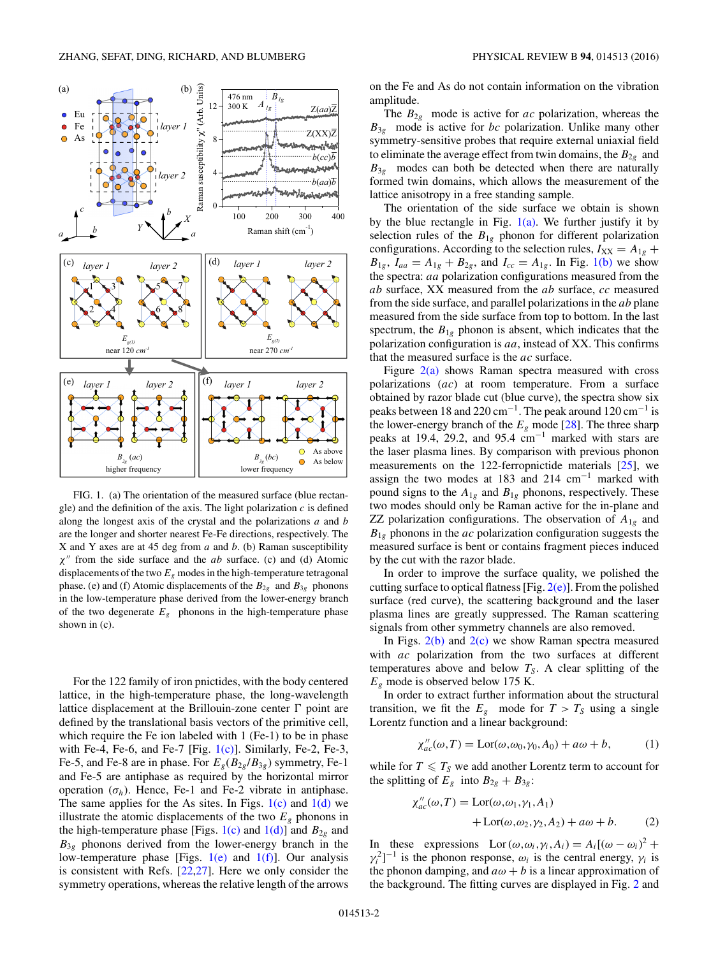<span id="page-1-0"></span>

FIG. 1. (a) The orientation of the measured surface (blue rectangle) and the definition of the axis. The light polarization *c* is defined along the longest axis of the crystal and the polarizations *a* and *b* are the longer and shorter nearest Fe-Fe directions, respectively. The X and Y axes are at 45 deg from *a* and *b*. (b) Raman susceptibility *χ* from the side surface and the *ab* surface. (c) and (d) Atomic displacements of the two  $E_g$  modes in the high-temperature tetragonal phase. (e) and (f) Atomic displacements of the  $B_{2g}$  and  $B_{3g}$  phonons in the low-temperature phase derived from the lower-energy branch of the two degenerate  $E<sub>g</sub>$  phonons in the high-temperature phase shown in (c).

For the 122 family of iron pnictides, with the body centered lattice, in the high-temperature phase, the long-wavelength lattice displacement at the Brillouin-zone center  $\Gamma$  point are defined by the translational basis vectors of the primitive cell, which require the Fe ion labeled with 1 (Fe-1) to be in phase with Fe-4, Fe-6, and Fe-7 [Fig.  $1(c)$ ]. Similarly, Fe-2, Fe-3, Fe-5, and Fe-8 are in phase. For  $E_g(B_{2g}/B_{3g})$  symmetry, Fe-1 and Fe-5 are antiphase as required by the horizontal mirror operation  $(\sigma_h)$ . Hence, Fe-1 and Fe-2 vibrate in antiphase. The same applies for the As sites. In Figs.  $1(c)$  and  $1(d)$  we illustrate the atomic displacements of the two  $E<sub>g</sub>$  phonons in the high-temperature phase [Figs.  $1(c)$  and  $1(d)$ ] and  $B_{2g}$  and  $B_{3g}$  phonons derived from the lower-energy branch in the low-temperature phase [Figs.  $1(e)$  and  $1(f)$ ]. Our analysis is consistent with Refs. [\[22](#page-3-0)[,27\]](#page-4-0). Here we only consider the symmetry operations, whereas the relative length of the arrows

on the Fe and As do not contain information on the vibration amplitude.

The  $B_{2g}$  mode is active for *ac* polarization, whereas the *B*3*<sup>g</sup>* mode is active for *bc* polarization. Unlike many other symmetry-sensitive probes that require external uniaxial field to eliminate the average effect from twin domains, the  $B_{2g}$  and  $B_{3g}$  modes can both be detected when there are naturally formed twin domains, which allows the measurement of the lattice anisotropy in a free standing sample.

The orientation of the side surface we obtain is shown by the blue rectangle in Fig.  $1(a)$ . We further justify it by selection rules of the  $B_{1g}$  phonon for different polarization configurations. According to the selection rules,  $I_{XX} = A_{1g} +$  $B_{1g}$ ,  $I_{aa} = A_{1g} + B_{2g}$ , and  $I_{cc} = A_{1g}$ . In Fig. 1(b) we show the spectra: *aa* polarization configurations measured from the *ab* surface, XX measured from the *ab* surface, *cc* measured from the side surface, and parallel polarizations in the *ab* plane measured from the side surface from top to bottom. In the last spectrum, the  $B_{1g}$  phonon is absent, which indicates that the polarization configuration is *aa*, instead of XX. This confirms that the measured surface is the *ac* surface.

Figure  $2(a)$  shows Raman spectra measured with cross polarizations (*ac*) at room temperature. From a surface obtained by razor blade cut (blue curve), the spectra show six peaks between 18 and 220 cm<sup>-1</sup>. The peak around 120 cm<sup>-1</sup> is the lower-energy branch of the  $E_g$  mode [\[28\]](#page-4-0). The three sharp peaks at 19.4, 29.2, and 95.4 cm−<sup>1</sup> marked with stars are the laser plasma lines. By comparison with previous phonon measurements on the 122-ferropnictide materials [\[25\]](#page-4-0), we assign the two modes at 183 and 214 cm−<sup>1</sup> marked with pound signs to the  $A_{1g}$  and  $B_{1g}$  phonons, respectively. These two modes should only be Raman active for the in-plane and ZZ polarization configurations. The observation of  $A_{1g}$  and  $B_{1g}$  phonons in the *ac* polarization configuration suggests the measured surface is bent or contains fragment pieces induced by the cut with the razor blade.

In order to improve the surface quality, we polished the cutting surface to optical flatness [Fig.  $2(e)$ ]. From the polished surface (red curve), the scattering background and the laser plasma lines are greatly suppressed. The Raman scattering signals from other symmetry channels are also removed.

In Figs.  $2(b)$  and  $2(c)$  we show Raman spectra measured with *ac* polarization from the two surfaces at different temperatures above and below  $T<sub>S</sub>$ . A clear splitting of the *Eg* mode is observed below 175 K.

In order to extract further information about the structural transition, we fit the  $E_g$  mode for  $T > T_S$  using a single Lorentz function and a linear background:

$$
\chi''_{ac}(\omega,T) = \text{Lor}(\omega,\omega_0,\gamma_0,A_0) + a\omega + b,\tag{1}
$$

while for  $T \leq T_S$  we add another Lorentz term to account for the splitting of  $E_g$  into  $B_{2g} + B_{3g}$ :

$$
\chi''_{ac}(\omega, T) = \text{Lor}(\omega, \omega_1, \gamma_1, A_1)
$$
  
+ 
$$
\text{Lor}(\omega, \omega_2, \gamma_2, A_2) + a\omega + b. \tag{2}
$$

In these expressions Lor  $(\omega, \omega_i, \gamma_i, A_i) = A_i[(\omega - \omega_i)^2 +$  $\gamma_i^2$ ]<sup>-1</sup> is the phonon response,  $\omega_i$  is the central energy,  $\gamma_i$  is the phonon damping, and  $a\omega + b$  is a linear approximation of the background. The fitting curves are displayed in Fig. [2](#page-2-0) and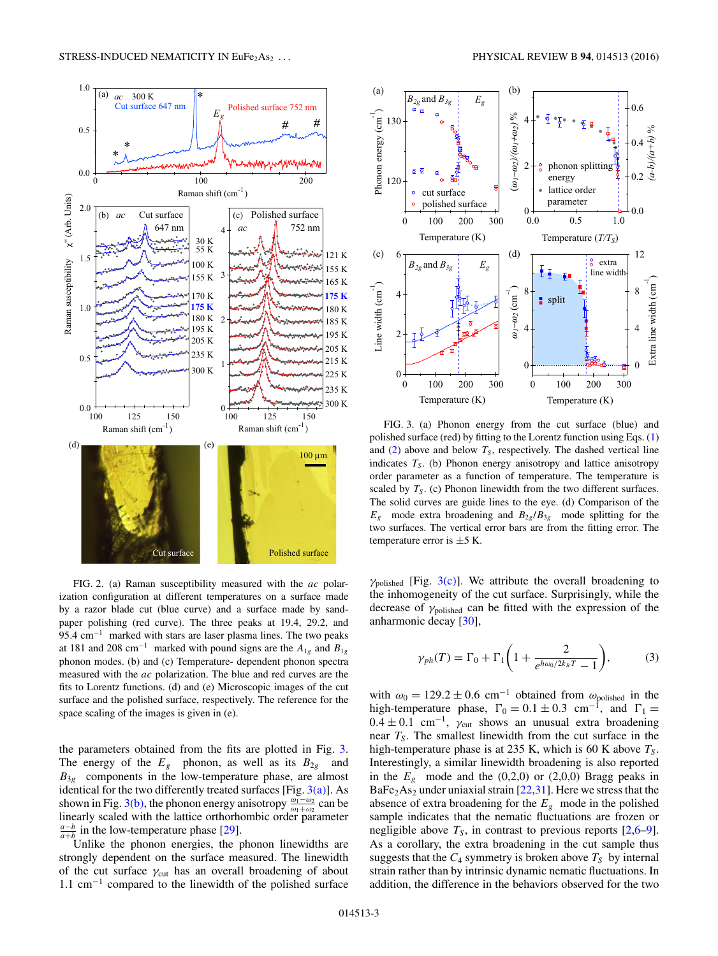<span id="page-2-0"></span>

FIG. 2. (a) Raman susceptibility measured with the *ac* polarization configuration at different temperatures on a surface made by a razor blade cut (blue curve) and a surface made by sandpaper polishing (red curve). The three peaks at 19.4, 29.2, and 95.4 cm<sup>-1</sup> marked with stars are laser plasma lines. The two peaks at 181 and 208 cm<sup>-1</sup> marked with pound signs are the  $A_{1g}$  and  $B_{1g}$ phonon modes. (b) and (c) Temperature- dependent phonon spectra measured with the *ac* polarization. The blue and red curves are the fits to Lorentz functions. (d) and (e) Microscopic images of the cut surface and the polished surface, respectively. The reference for the space scaling of the images is given in (e).

the parameters obtained from the fits are plotted in Fig. 3. The energy of the  $E_g$  phonon, as well as its  $B_{2g}$  and  $B_{3g}$  components in the low-temperature phase, are almost identical for the two differently treated surfaces [Fig.  $3(a)$ ]. As shown in Fig. 3(b), the phonon energy anisotropy  $\frac{\omega_1 - \omega_2}{\omega_1 + \omega_2}$  can be linearly scaled with the lattice anti-calculation and  $\omega_1 + \omega_2$ linearly scaled with the lattice orthorhombic order parameter  $\frac{a-b}{a+b}$  in the low-temperature phase [\[29\]](#page-4-0).

Unlike the phonon energies, the phonon linewidths are strongly dependent on the surface measured. The linewidth of the cut surface *γ*cut has an overall broadening of about 1.1 cm−<sup>1</sup> compared to the linewidth of the polished surface



FIG. 3. (a) Phonon energy from the cut surface (blue) and polished surface (red) by fitting to the Lorentz function using Eqs. [\(1\)](#page-1-0) and  $(2)$  above and below  $T<sub>S</sub>$ , respectively. The dashed vertical line indicates  $T<sub>S</sub>$ . (b) Phonon energy anisotropy and lattice anisotropy order parameter as a function of temperature. The temperature is scaled by  $T<sub>S</sub>$ . (c) Phonon linewidth from the two different surfaces. The solid curves are guide lines to the eye. (d) Comparison of the  $E<sub>g</sub>$  mode extra broadening and  $B<sub>2g</sub>/B<sub>3g</sub>$  mode splitting for the two surfaces. The vertical error bars are from the fitting error. The temperature error is  $\pm$ 5 K.

 $\gamma_{\text{polished}}$  [Fig. 3(c)]. We attribute the overall broadening to the inhomogeneity of the cut surface. Surprisingly, while the decrease of *γ*polished can be fitted with the expression of the anharmonic decay [\[30\]](#page-4-0),

$$
\gamma_{ph}(T) = \Gamma_0 + \Gamma_1 \left( 1 + \frac{2}{e^{h\omega_0/2k_B T} - 1} \right),\tag{3}
$$

with  $\omega_0 = 129.2 \pm 0.6$  cm<sup>-1</sup> obtained from  $\omega_{\text{polished}}$  in the high-temperature phase,  $\Gamma_0 = 0.1 \pm 0.3$  cm<sup>-1</sup>, and  $\Gamma_1 =$  $0.4 \pm 0.1$  cm<sup>-1</sup>,  $\gamma_{\text{cut}}$  shows an unusual extra broadening near  $T<sub>S</sub>$ . The smallest linewidth from the cut surface in the high-temperature phase is at 235 K, which is 60 K above  $T<sub>S</sub>$ . Interestingly, a similar linewidth broadening is also reported in the  $E<sub>g</sub>$  mode and the (0,2,0) or (2,0,0) Bragg peaks in  $BaFe<sub>2</sub>As<sub>2</sub>$  under uniaxial strain [\[22,](#page-3-0)[31\]](#page-4-0). Here we stress that the absence of extra broadening for the  $E<sub>g</sub>$  mode in the polished sample indicates that the nematic fluctuations are frozen or negligible above  $T<sub>S</sub>$ , in contrast to previous reports  $[2,6-9]$ . As a corollary, the extra broadening in the cut sample thus suggests that the  $C_4$  symmetry is broken above  $T_S$  by internal strain rather than by intrinsic dynamic nematic fluctuations. In addition, the difference in the behaviors observed for the two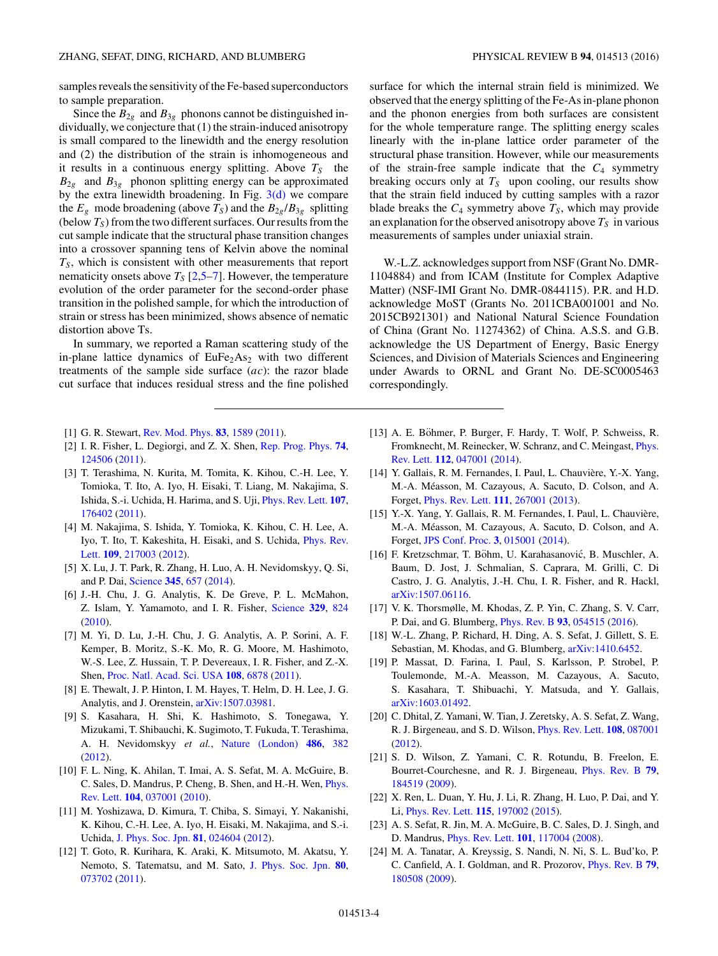<span id="page-3-0"></span>samples reveals the sensitivity of the Fe-based superconductors to sample preparation.

Since the  $B_{2g}$  and  $B_{3g}$  phonons cannot be distinguished individually, we conjecture that (1) the strain-induced anisotropy is small compared to the linewidth and the energy resolution and (2) the distribution of the strain is inhomogeneous and it results in a continuous energy splitting. Above  $T<sub>S</sub>$  the  $B_{2g}$  and  $B_{3g}$  phonon splitting energy can be approximated by the extra linewidth broadening. In Fig.  $3(d)$  we compare the  $E_g$  mode broadening (above  $T_S$ ) and the  $B_{2g}/B_{3g}$  splitting (below  $T_S$ ) from the two different surfaces. Our results from the cut sample indicate that the structural phase transition changes into a crossover spanning tens of Kelvin above the nominal  $T<sub>S</sub>$ , which is consistent with other measurements that report nematicity onsets above  $T_S$  [2,5–7]. However, the temperature evolution of the order parameter for the second-order phase transition in the polished sample, for which the introduction of strain or stress has been minimized, shows absence of nematic distortion above Ts.

In summary, we reported a Raman scattering study of the in-plane lattice dynamics of  $EuFe<sub>2</sub>As<sub>2</sub>$  with two different treatments of the sample side surface (*ac*): the razor blade cut surface that induces residual stress and the fine polished surface for which the internal strain field is minimized. We observed that the energy splitting of the Fe-As in-plane phonon and the phonon energies from both surfaces are consistent for the whole temperature range. The splitting energy scales linearly with the in-plane lattice order parameter of the structural phase transition. However, while our measurements of the strain-free sample indicate that the  $C_4$  symmetry breaking occurs only at  $T<sub>S</sub>$  upon cooling, our results show that the strain field induced by cutting samples with a razor blade breaks the  $C_4$  symmetry above  $T_S$ , which may provide an explanation for the observed anisotropy above  $T<sub>S</sub>$  in various measurements of samples under uniaxial strain.

W.-L.Z. acknowledges support from NSF (Grant No. DMR-1104884) and from ICAM (Institute for Complex Adaptive Matter) (NSF-IMI Grant No. DMR-0844115). P.R. and H.D. acknowledge MoST (Grants No. 2011CBA001001 and No. 2015CB921301) and National Natural Science Foundation of China (Grant No. 11274362) of China. A.S.S. and G.B. acknowledge the US Department of Energy, Basic Energy Sciences, and Division of Materials Sciences and Engineering under Awards to ORNL and Grant No. DE-SC0005463 correspondingly.

- [1] G. R. Stewart, [Rev. Mod. Phys.](http://dx.doi.org/10.1103/RevModPhys.83.1589) **[83](http://dx.doi.org/10.1103/RevModPhys.83.1589)**, [1589](http://dx.doi.org/10.1103/RevModPhys.83.1589) [\(2011\)](http://dx.doi.org/10.1103/RevModPhys.83.1589).
- [2] I. R. Fisher, L. Degiorgi, and Z. X. Shen, [Rep. Prog. Phys.](http://dx.doi.org/10.1088/0034-4885/74/12/124506) **[74](http://dx.doi.org/10.1088/0034-4885/74/12/124506)**, [124506](http://dx.doi.org/10.1088/0034-4885/74/12/124506) [\(2011\)](http://dx.doi.org/10.1088/0034-4885/74/12/124506).
- [3] T. Terashima, N. Kurita, M. Tomita, K. Kihou, C.-H. Lee, Y. Tomioka, T. Ito, A. Iyo, H. Eisaki, T. Liang, M. Nakajima, S. Ishida, S.-i. Uchida, H. Harima, and S. Uji, [Phys. Rev. Lett.](http://dx.doi.org/10.1103/PhysRevLett.107.176402) **[107](http://dx.doi.org/10.1103/PhysRevLett.107.176402)**, [176402](http://dx.doi.org/10.1103/PhysRevLett.107.176402) [\(2011\)](http://dx.doi.org/10.1103/PhysRevLett.107.176402).
- [4] M. Nakajima, S. Ishida, Y. Tomioka, K. Kihou, C. H. Lee, A. [Iyo, T. Ito, T. Kakeshita, H. Eisaki, and S. Uchida,](http://dx.doi.org/10.1103/PhysRevLett.109.217003) Phys. Rev. Lett. **[109](http://dx.doi.org/10.1103/PhysRevLett.109.217003)**, [217003](http://dx.doi.org/10.1103/PhysRevLett.109.217003) [\(2012\)](http://dx.doi.org/10.1103/PhysRevLett.109.217003).
- [5] X. Lu, J. T. Park, R. Zhang, H. Luo, A. H. Nevidomskyy, Q. Si, and P. Dai, [Science](http://dx.doi.org/10.1126/science.1251853) **[345](http://dx.doi.org/10.1126/science.1251853)**, [657](http://dx.doi.org/10.1126/science.1251853) [\(2014\)](http://dx.doi.org/10.1126/science.1251853).
- [6] J.-H. Chu, J. G. Analytis, K. De Greve, P. L. McMahon, Z. Islam, Y. Yamamoto, and I. R. Fisher, [Science](http://dx.doi.org/10.1126/science.1190482) **[329](http://dx.doi.org/10.1126/science.1190482)**, [824](http://dx.doi.org/10.1126/science.1190482) [\(2010\)](http://dx.doi.org/10.1126/science.1190482).
- [7] M. Yi, D. Lu, J.-H. Chu, J. G. Analytis, A. P. Sorini, A. F. Kemper, B. Moritz, S.-K. Mo, R. G. Moore, M. Hashimoto, W.-S. Lee, Z. Hussain, T. P. Devereaux, I. R. Fisher, and Z.-X. Shen, [Proc. Natl. Acad. Sci. USA](http://dx.doi.org/10.1073/pnas.1015572108) **[108](http://dx.doi.org/10.1073/pnas.1015572108)**, [6878](http://dx.doi.org/10.1073/pnas.1015572108) [\(2011\)](http://dx.doi.org/10.1073/pnas.1015572108).
- [8] E. Thewalt, J. P. Hinton, I. M. Hayes, T. Helm, D. H. Lee, J. G. Analytis, and J. Orenstein, [arXiv:1507.03981.](http://arxiv.org/abs/arXiv:1507.03981)
- [9] S. Kasahara, H. Shi, K. Hashimoto, S. Tonegawa, Y. Mizukami, T. Shibauchi, K. Sugimoto, T. Fukuda, T. Terashima, A. H. Nevidomskyy *et al.*, [Nature \(London\)](http://dx.doi.org/10.1038/nature11178) **[486](http://dx.doi.org/10.1038/nature11178)**, [382](http://dx.doi.org/10.1038/nature11178) [\(2012\)](http://dx.doi.org/10.1038/nature11178).
- [10] F. L. Ning, K. Ahilan, T. Imai, A. S. Sefat, M. A. McGuire, B. [C. Sales, D. Mandrus, P. Cheng, B. Shen, and H.-H. Wen,](http://dx.doi.org/10.1103/PhysRevLett.104.037001) Phys. Rev. Lett. **[104](http://dx.doi.org/10.1103/PhysRevLett.104.037001)**, [037001](http://dx.doi.org/10.1103/PhysRevLett.104.037001) [\(2010\)](http://dx.doi.org/10.1103/PhysRevLett.104.037001).
- [11] M. Yoshizawa, D. Kimura, T. Chiba, S. Simayi, Y. Nakanishi, K. Kihou, C.-H. Lee, A. Iyo, H. Eisaki, M. Nakajima, and S.-i. Uchida, [J. Phys. Soc. Jpn.](http://dx.doi.org/10.1143/JPSJ.81.024604) **[81](http://dx.doi.org/10.1143/JPSJ.81.024604)**, [024604](http://dx.doi.org/10.1143/JPSJ.81.024604) [\(2012\)](http://dx.doi.org/10.1143/JPSJ.81.024604).
- [12] T. Goto, R. Kurihara, K. Araki, K. Mitsumoto, M. Akatsu, Y. Nemoto, S. Tatematsu, and M. Sato, [J. Phys. Soc. Jpn.](http://dx.doi.org/10.1143/JPSJ.80.073702) **[80](http://dx.doi.org/10.1143/JPSJ.80.073702)**, [073702](http://dx.doi.org/10.1143/JPSJ.80.073702) [\(2011\)](http://dx.doi.org/10.1143/JPSJ.80.073702).
- [13] A. E. Böhmer, P. Burger, F. Hardy, T. Wolf, P. Schweiss, R. [Fromknecht, M. Reinecker, W. Schranz, and C. Meingast,](http://dx.doi.org/10.1103/PhysRevLett.112.047001) Phys. Rev. Lett. **[112](http://dx.doi.org/10.1103/PhysRevLett.112.047001)**, [047001](http://dx.doi.org/10.1103/PhysRevLett.112.047001) [\(2014\)](http://dx.doi.org/10.1103/PhysRevLett.112.047001).
- [14] Y. Gallais, R. M. Fernandes, I. Paul, L. Chauvière, Y.-X. Yang, M.-A. Measson, M. Cazayous, A. Sacuto, D. Colson, and A. ´ Forget, [Phys. Rev. Lett.](http://dx.doi.org/10.1103/PhysRevLett.111.267001) **[111](http://dx.doi.org/10.1103/PhysRevLett.111.267001)**, [267001](http://dx.doi.org/10.1103/PhysRevLett.111.267001) [\(2013\)](http://dx.doi.org/10.1103/PhysRevLett.111.267001).
- [15] Y.-X. Yang, Y. Gallais, R. M. Fernandes, I. Paul, L. Chauvière, M.-A. Measson, M. Cazayous, A. Sacuto, D. Colson, and A. ´ Forget, [JPS Conf. Proc.](http://dx.doi.org/10.7566/JPSCP.3.015001) **[3](http://dx.doi.org/10.7566/JPSCP.3.015001)**, [015001](http://dx.doi.org/10.7566/JPSCP.3.015001) [\(2014\)](http://dx.doi.org/10.7566/JPSCP.3.015001).
- [16] F. Kretzschmar, T. Böhm, U. Karahasanović, B. Muschler, A. Baum, D. Jost, J. Schmalian, S. Caprara, M. Grilli, C. Di Castro, J. G. Analytis, J.-H. Chu, I. R. Fisher, and R. Hackl, [arXiv:1507.06116.](http://arxiv.org/abs/arXiv:1507.06116)
- [17] V. K. Thorsmølle, M. Khodas, Z. P. Yin, C. Zhang, S. V. Carr, P. Dai, and G. Blumberg, [Phys. Rev. B](http://dx.doi.org/10.1103/PhysRevB.93.054515) **[93](http://dx.doi.org/10.1103/PhysRevB.93.054515)**, [054515](http://dx.doi.org/10.1103/PhysRevB.93.054515) [\(2016\)](http://dx.doi.org/10.1103/PhysRevB.93.054515).
- [18] W.-L. Zhang, P. Richard, H. Ding, A. S. Sefat, J. Gillett, S. E. Sebastian, M. Khodas, and G. Blumberg, [arXiv:1410.6452.](http://arxiv.org/abs/arXiv:1410.6452)
- [19] P. Massat, D. Farina, I. Paul, S. Karlsson, P. Strobel, P. Toulemonde, M.-A. Measson, M. Cazayous, A. Sacuto, S. Kasahara, T. Shibuachi, Y. Matsuda, and Y. Gallais, [arXiv:1603.01492.](http://arxiv.org/abs/arXiv:1603.01492)
- [20] C. Dhital, Z. Yamani, W. Tian, J. Zeretsky, A. S. Sefat, Z. Wang, R. J. Birgeneau, and S. D. Wilson, [Phys. Rev. Lett.](http://dx.doi.org/10.1103/PhysRevLett.108.087001) **[108](http://dx.doi.org/10.1103/PhysRevLett.108.087001)**, [087001](http://dx.doi.org/10.1103/PhysRevLett.108.087001) [\(2012\)](http://dx.doi.org/10.1103/PhysRevLett.108.087001).
- [21] S. D. Wilson, Z. Yamani, C. R. Rotundu, B. Freelon, E. Bourret-Courchesne, and R. J. Birgeneau, [Phys. Rev. B](http://dx.doi.org/10.1103/PhysRevB.79.184519) **[79](http://dx.doi.org/10.1103/PhysRevB.79.184519)**, [184519](http://dx.doi.org/10.1103/PhysRevB.79.184519) [\(2009\)](http://dx.doi.org/10.1103/PhysRevB.79.184519).
- [22] X. Ren, L. Duan, Y. Hu, J. Li, R. Zhang, H. Luo, P. Dai, and Y. Li, [Phys. Rev. Lett.](http://dx.doi.org/10.1103/PhysRevLett.115.197002) **[115](http://dx.doi.org/10.1103/PhysRevLett.115.197002)**, [197002](http://dx.doi.org/10.1103/PhysRevLett.115.197002) [\(2015\)](http://dx.doi.org/10.1103/PhysRevLett.115.197002).
- [23] A. S. Sefat, R. Jin, M. A. McGuire, B. C. Sales, D. J. Singh, and D. Mandrus, [Phys. Rev. Lett.](http://dx.doi.org/10.1103/PhysRevLett.101.117004) **[101](http://dx.doi.org/10.1103/PhysRevLett.101.117004)**, [117004](http://dx.doi.org/10.1103/PhysRevLett.101.117004) [\(2008\)](http://dx.doi.org/10.1103/PhysRevLett.101.117004).
- [24] M. A. Tanatar, A. Kreyssig, S. Nandi, N. Ni, S. L. Bud'ko, P. C. Canfield, A. I. Goldman, and R. Prozorov, [Phys. Rev. B](http://dx.doi.org/10.1103/PhysRevB.79.180508) **[79](http://dx.doi.org/10.1103/PhysRevB.79.180508)**, [180508](http://dx.doi.org/10.1103/PhysRevB.79.180508) [\(2009\)](http://dx.doi.org/10.1103/PhysRevB.79.180508).